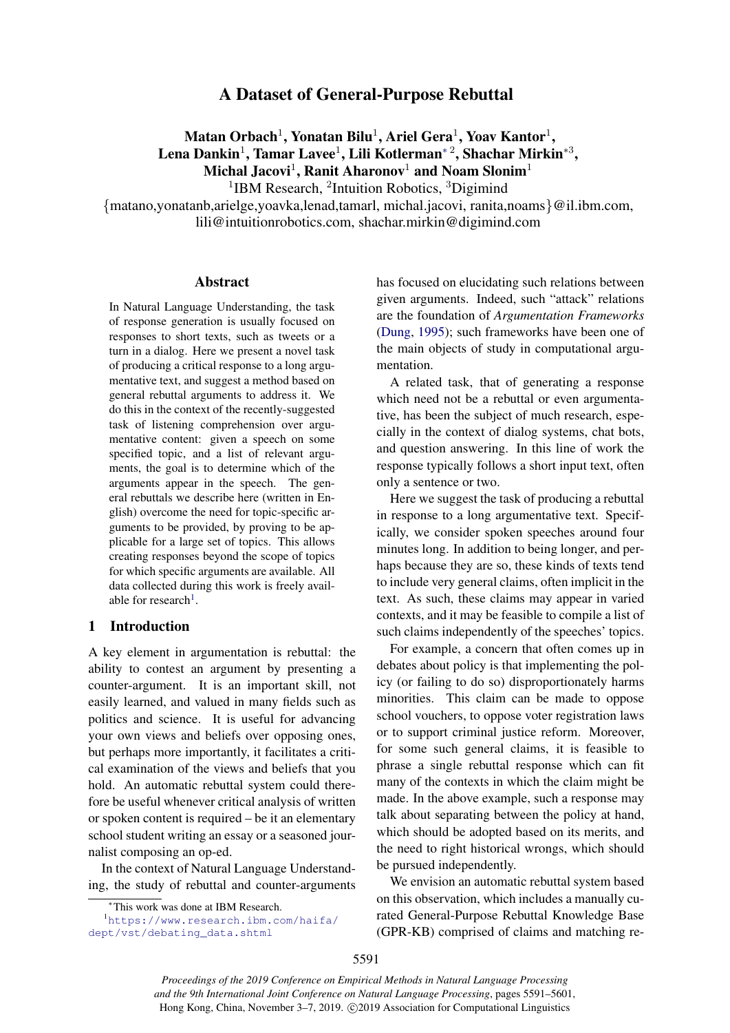# A Dataset of General-Purpose Rebuttal

 $\mathbf M$ atan Orbach $^1$ , Yonatan Bilu $^1$ , Ariel Gera $^1$ , Yoav Kantor $^1,$ Lena Dankin $^1$ , Tamar Lavee $^1$ , Lili Kotlerman $^{\ast\,2}$ , Shachar Mirkin $^{\ast 3}$ , Michal Jacovi<sup>1</sup>, Ranit Aharonov<sup>1</sup> and Noam Slonim<sup>1</sup>

<sup>1</sup>IBM Research, <sup>2</sup>Intuition Robotics, <sup>3</sup>Digimind

{matano,yonatanb,arielge,yoavka,lenad,tamarl, michal.jacovi, ranita,noams}@il.ibm.com,

lili@intuitionrobotics.com, shachar.mirkin@digimind.com

# Abstract

In Natural Language Understanding, the task of response generation is usually focused on responses to short texts, such as tweets or a turn in a dialog. Here we present a novel task of producing a critical response to a long argumentative text, and suggest a method based on general rebuttal arguments to address it. We do this in the context of the recently-suggested task of listening comprehension over argumentative content: given a speech on some specified topic, and a list of relevant arguments, the goal is to determine which of the arguments appear in the speech. The general rebuttals we describe here (written in English) overcome the need for topic-specific arguments to be provided, by proving to be applicable for a large set of topics. This allows creating responses beyond the scope of topics for which specific arguments are available. All data collected during this work is freely avail-able for research<sup>[1](#page-0-0)</sup>.

# 1 Introduction

A key element in argumentation is rebuttal: the ability to contest an argument by presenting a counter-argument. It is an important skill, not easily learned, and valued in many fields such as politics and science. It is useful for advancing your own views and beliefs over opposing ones, but perhaps more importantly, it facilitates a critical examination of the views and beliefs that you hold. An automatic rebuttal system could therefore be useful whenever critical analysis of written or spoken content is required – be it an elementary school student writing an essay or a seasoned journalist composing an op-ed.

In the context of Natural Language Understanding, the study of rebuttal and counter-arguments has focused on elucidating such relations between given arguments. Indeed, such "attack" relations are the foundation of *Argumentation Frameworks* [\(Dung,](#page-9-0) [1995\)](#page-9-0); such frameworks have been one of the main objects of study in computational argumentation.

A related task, that of generating a response which need not be a rebuttal or even argumentative, has been the subject of much research, especially in the context of dialog systems, chat bots, and question answering. In this line of work the response typically follows a short input text, often only a sentence or two.

Here we suggest the task of producing a rebuttal in response to a long argumentative text. Specifically, we consider spoken speeches around four minutes long. In addition to being longer, and perhaps because they are so, these kinds of texts tend to include very general claims, often implicit in the text. As such, these claims may appear in varied contexts, and it may be feasible to compile a list of such claims independently of the speeches' topics.

For example, a concern that often comes up in debates about policy is that implementing the policy (or failing to do so) disproportionately harms minorities. This claim can be made to oppose school vouchers, to oppose voter registration laws or to support criminal justice reform. Moreover, for some such general claims, it is feasible to phrase a single rebuttal response which can fit many of the contexts in which the claim might be made. In the above example, such a response may talk about separating between the policy at hand, which should be adopted based on its merits, and the need to right historical wrongs, which should be pursued independently.

We envision an automatic rebuttal system based on this observation, which includes a manually curated General-Purpose Rebuttal Knowledge Base (GPR-KB) comprised of claims and matching re-

<span id="page-0-0"></span><sup>∗</sup>This work was done at IBM Research.

<sup>1</sup>[https://www.research.ibm.com/haifa/](https://www.research.ibm.com/haifa/dept/vst/debating_data.shtml) [dept/vst/debating\\_data.shtml](https://www.research.ibm.com/haifa/dept/vst/debating_data.shtml)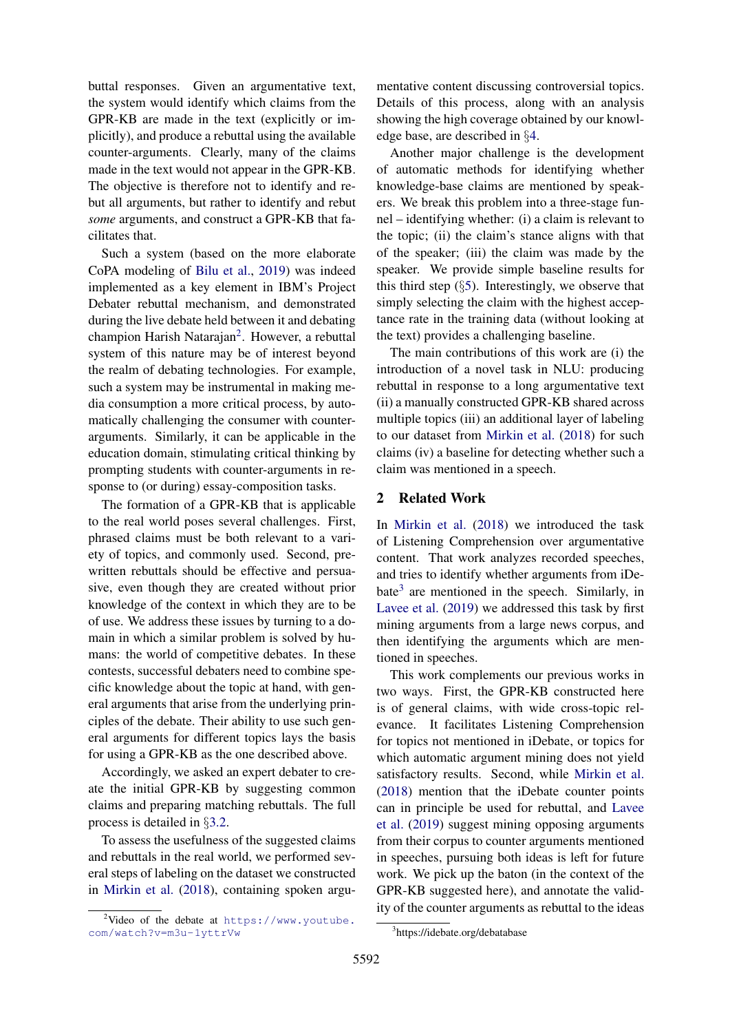buttal responses. Given an argumentative text, the system would identify which claims from the GPR-KB are made in the text (explicitly or implicitly), and produce a rebuttal using the available counter-arguments. Clearly, many of the claims made in the text would not appear in the GPR-KB. The objective is therefore not to identify and rebut all arguments, but rather to identify and rebut *some* arguments, and construct a GPR-KB that facilitates that.

Such a system (based on the more elaborate CoPA modeling of [Bilu et al.,](#page-9-1) [2019\)](#page-9-1) was indeed implemented as a key element in IBM's Project Debater rebuttal mechanism, and demonstrated during the live debate held between it and debating champion Harish Natarajan<sup>[2](#page-1-0)</sup>. However, a rebuttal system of this nature may be of interest beyond the realm of debating technologies. For example, such a system may be instrumental in making media consumption a more critical process, by automatically challenging the consumer with counterarguments. Similarly, it can be applicable in the education domain, stimulating critical thinking by prompting students with counter-arguments in response to (or during) essay-composition tasks.

The formation of a GPR-KB that is applicable to the real world poses several challenges. First, phrased claims must be both relevant to a variety of topics, and commonly used. Second, prewritten rebuttals should be effective and persuasive, even though they are created without prior knowledge of the context in which they are to be of use. We address these issues by turning to a domain in which a similar problem is solved by humans: the world of competitive debates. In these contests, successful debaters need to combine specific knowledge about the topic at hand, with general arguments that arise from the underlying principles of the debate. Their ability to use such general arguments for different topics lays the basis for using a GPR-KB as the one described above.

Accordingly, we asked an expert debater to create the initial GPR-KB by suggesting common claims and preparing matching rebuttals. The full process is detailed in §[3.2.](#page-2-0)

To assess the usefulness of the suggested claims and rebuttals in the real world, we performed several steps of labeling on the dataset we constructed in [Mirkin et al.](#page-9-2) [\(2018\)](#page-9-2), containing spoken argu-

mentative content discussing controversial topics. Details of this process, along with an analysis showing the high coverage obtained by our knowledge base, are described in §[4.](#page-3-0)

Another major challenge is the development of automatic methods for identifying whether knowledge-base claims are mentioned by speakers. We break this problem into a three-stage funnel – identifying whether: (i) a claim is relevant to the topic; (ii) the claim's stance aligns with that of the speaker; (iii) the claim was made by the speaker. We provide simple baseline results for this third step  $(\S 5)$  $(\S 5)$ . Interestingly, we observe that simply selecting the claim with the highest acceptance rate in the training data (without looking at the text) provides a challenging baseline.

The main contributions of this work are (i) the introduction of a novel task in NLU: producing rebuttal in response to a long argumentative text (ii) a manually constructed GPR-KB shared across multiple topics (iii) an additional layer of labeling to our dataset from [Mirkin et al.](#page-9-2) [\(2018\)](#page-9-2) for such claims (iv) a baseline for detecting whether such a claim was mentioned in a speech.

## 2 Related Work

In [Mirkin et al.](#page-9-2) [\(2018\)](#page-9-2) we introduced the task of Listening Comprehension over argumentative content. That work analyzes recorded speeches, and tries to identify whether arguments from iDe-bate<sup>[3](#page-1-1)</sup> are mentioned in the speech. Similarly, in [Lavee et al.](#page-9-3) [\(2019\)](#page-9-3) we addressed this task by first mining arguments from a large news corpus, and then identifying the arguments which are mentioned in speeches.

This work complements our previous works in two ways. First, the GPR-KB constructed here is of general claims, with wide cross-topic relevance. It facilitates Listening Comprehension for topics not mentioned in iDebate, or topics for which automatic argument mining does not yield satisfactory results. Second, while [Mirkin et al.](#page-9-2) [\(2018\)](#page-9-2) mention that the iDebate counter points can in principle be used for rebuttal, and [Lavee](#page-9-3) [et al.](#page-9-3) [\(2019\)](#page-9-3) suggest mining opposing arguments from their corpus to counter arguments mentioned in speeches, pursuing both ideas is left for future work. We pick up the baton (in the context of the GPR-KB suggested here), and annotate the validity of the counter arguments as rebuttal to the ideas

<span id="page-1-0"></span><sup>&</sup>lt;sup>2</sup>Video of the debate at [https://www.youtube.](https://www.youtube.com/watch?v=m3u-1yttrVw) [com/watch?v=m3u-1yttrVw](https://www.youtube.com/watch?v=m3u-1yttrVw)

<span id="page-1-1"></span><sup>3</sup> https://idebate.org/debatabase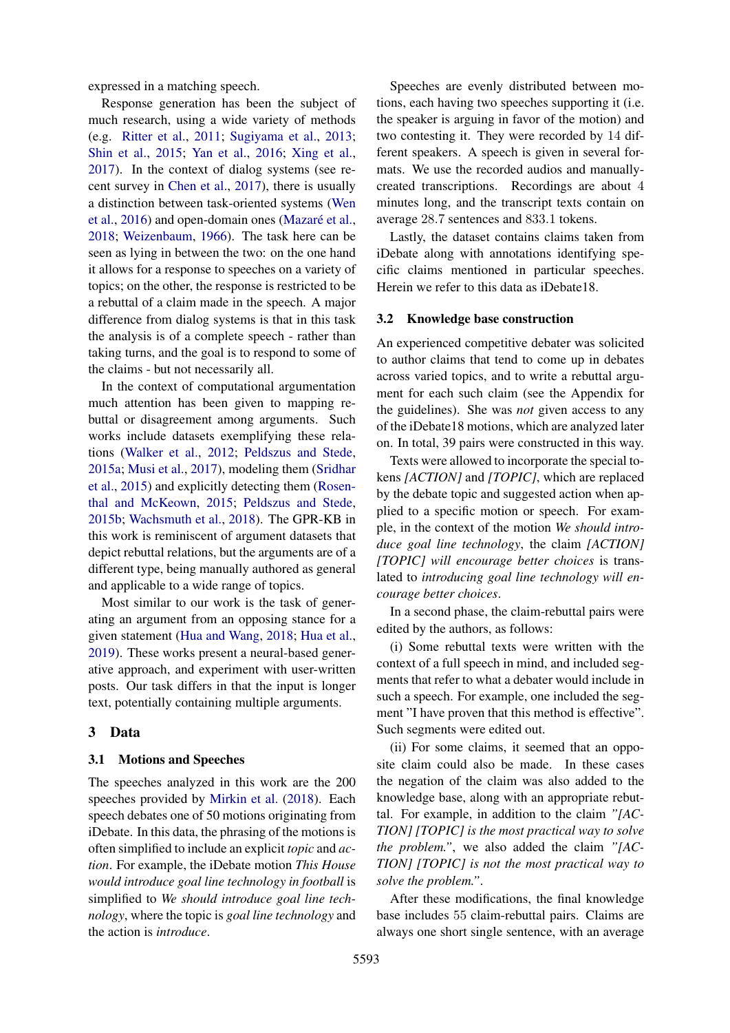expressed in a matching speech.

Response generation has been the subject of much research, using a wide variety of methods (e.g. [Ritter et al.,](#page-9-4) [2011;](#page-9-4) [Sugiyama et al.,](#page-9-5) [2013;](#page-9-5) [Shin et al.,](#page-9-6) [2015;](#page-9-6) [Yan et al.,](#page-10-0) [2016;](#page-10-0) [Xing et al.,](#page-10-1) [2017\)](#page-10-1). In the context of dialog systems (see recent survey in [Chen et al.,](#page-9-7) [2017\)](#page-9-7), there is usually a distinction between task-oriented systems [\(Wen](#page-10-2) [et al.,](#page-10-2) [2016\)](#page-10-2) and open-domain ones (Mazaré et al., [2018;](#page-9-8) [Weizenbaum,](#page-10-3) [1966\)](#page-10-3). The task here can be seen as lying in between the two: on the one hand it allows for a response to speeches on a variety of topics; on the other, the response is restricted to be a rebuttal of a claim made in the speech. A major difference from dialog systems is that in this task the analysis is of a complete speech - rather than taking turns, and the goal is to respond to some of the claims - but not necessarily all.

In the context of computational argumentation much attention has been given to mapping rebuttal or disagreement among arguments. Such works include datasets exemplifying these relations [\(Walker et al.,](#page-10-4) [2012;](#page-10-4) [Peldszus and Stede,](#page-9-9) [2015a;](#page-9-9) [Musi et al.,](#page-9-10) [2017\)](#page-9-10), modeling them [\(Sridhar](#page-9-11) [et al.,](#page-9-11) [2015\)](#page-9-11) and explicitly detecting them [\(Rosen](#page-9-12)[thal and McKeown,](#page-9-12) [2015;](#page-9-12) [Peldszus and Stede,](#page-9-13) [2015b;](#page-9-13) [Wachsmuth et al.,](#page-9-14) [2018\)](#page-9-14). The GPR-KB in this work is reminiscent of argument datasets that depict rebuttal relations, but the arguments are of a different type, being manually authored as general and applicable to a wide range of topics.

Most similar to our work is the task of generating an argument from an opposing stance for a given statement [\(Hua and Wang,](#page-9-15) [2018;](#page-9-15) [Hua et al.,](#page-9-16) [2019\)](#page-9-16). These works present a neural-based generative approach, and experiment with user-written posts. Our task differs in that the input is longer text, potentially containing multiple arguments.

## 3 Data

#### 3.1 Motions and Speeches

The speeches analyzed in this work are the 200 speeches provided by [Mirkin et al.](#page-9-2) [\(2018\)](#page-9-2). Each speech debates one of 50 motions originating from iDebate. In this data, the phrasing of the motions is often simplified to include an explicit *topic* and *action*. For example, the iDebate motion *This House would introduce goal line technology in football* is simplified to *We should introduce goal line technology*, where the topic is *goal line technology* and the action is *introduce*.

Speeches are evenly distributed between motions, each having two speeches supporting it (i.e. the speaker is arguing in favor of the motion) and two contesting it. They were recorded by 14 different speakers. A speech is given in several formats. We use the recorded audios and manuallycreated transcriptions. Recordings are about 4 minutes long, and the transcript texts contain on average 28.7 sentences and 833.1 tokens.

Lastly, the dataset contains claims taken from iDebate along with annotations identifying specific claims mentioned in particular speeches. Herein we refer to this data as iDebate18.

#### <span id="page-2-0"></span>3.2 Knowledge base construction

An experienced competitive debater was solicited to author claims that tend to come up in debates across varied topics, and to write a rebuttal argument for each such claim (see the Appendix for the guidelines). She was *not* given access to any of the iDebate18 motions, which are analyzed later on. In total, 39 pairs were constructed in this way.

Texts were allowed to incorporate the special tokens *[ACTION]* and *[TOPIC]*, which are replaced by the debate topic and suggested action when applied to a specific motion or speech. For example, in the context of the motion *We should introduce goal line technology*, the claim *[ACTION] [TOPIC] will encourage better choices* is translated to *introducing goal line technology will encourage better choices*.

In a second phase, the claim-rebuttal pairs were edited by the authors, as follows:

(i) Some rebuttal texts were written with the context of a full speech in mind, and included segments that refer to what a debater would include in such a speech. For example, one included the segment "I have proven that this method is effective". Such segments were edited out.

(ii) For some claims, it seemed that an opposite claim could also be made. In these cases the negation of the claim was also added to the knowledge base, along with an appropriate rebuttal. For example, in addition to the claim *"[AC-TION] [TOPIC] is the most practical way to solve the problem."*, we also added the claim *"[AC-TION] [TOPIC] is not the most practical way to solve the problem."*.

After these modifications, the final knowledge base includes 55 claim-rebuttal pairs. Claims are always one short single sentence, with an average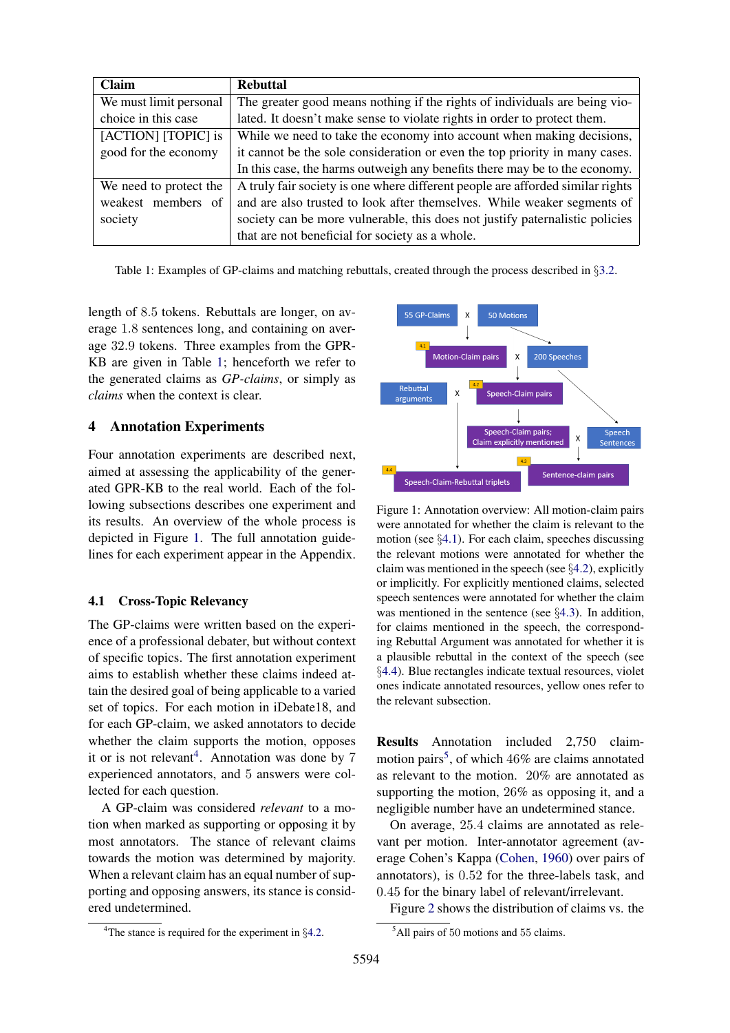<span id="page-3-1"></span>

| Claim                  | <b>Rebuttal</b>                                                                |  |  |
|------------------------|--------------------------------------------------------------------------------|--|--|
| We must limit personal | The greater good means nothing if the rights of individuals are being vio-     |  |  |
| choice in this case    | lated. It doesn't make sense to violate rights in order to protect them.       |  |  |
| [ACTION] [TOPIC] is    | While we need to take the economy into account when making decisions,          |  |  |
| good for the economy   | it cannot be the sole consideration or even the top priority in many cases.    |  |  |
|                        | In this case, the harms outweigh any benefits there may be to the economy.     |  |  |
| We need to protect the | A truly fair society is one where different people are afforded similar rights |  |  |
| weakest members of     | and are also trusted to look after themselves. While weaker segments of        |  |  |
| society                | society can be more vulnerable, this does not justify paternalistic policies   |  |  |
|                        | that are not beneficial for society as a whole.                                |  |  |

Table 1: Examples of GP-claims and matching rebuttals, created through the process described in §[3.2.](#page-2-0)

length of 8.5 tokens. Rebuttals are longer, on average 1.8 sentences long, and containing on average 32.9 tokens. Three examples from the GPR-KB are given in Table [1;](#page-3-1) henceforth we refer to the generated claims as *GP-claims*, or simply as *claims* when the context is clear.

# <span id="page-3-0"></span>4 Annotation Experiments

Four annotation experiments are described next, aimed at assessing the applicability of the generated GPR-KB to the real world. Each of the following subsections describes one experiment and its results. An overview of the whole process is depicted in Figure [1.](#page-3-2) The full annotation guidelines for each experiment appear in the Appendix.

## <span id="page-3-4"></span>4.1 Cross-Topic Relevancy

The GP-claims were written based on the experience of a professional debater, but without context of specific topics. The first annotation experiment aims to establish whether these claims indeed attain the desired goal of being applicable to a varied set of topics. For each motion in iDebate18, and for each GP-claim, we asked annotators to decide whether the claim supports the motion, opposes it or is not relevant<sup>[4](#page-3-3)</sup>. Annotation was done by  $7$ experienced annotators, and 5 answers were collected for each question.

A GP-claim was considered *relevant* to a motion when marked as supporting or opposing it by most annotators. The stance of relevant claims towards the motion was determined by majority. When a relevant claim has an equal number of supporting and opposing answers, its stance is considered undetermined.

<span id="page-3-2"></span>

Figure 1: Annotation overview: All motion-claim pairs were annotated for whether the claim is relevant to the motion (see  $\S 4.1$ ). For each claim, speeches discussing the relevant motions were annotated for whether the claim was mentioned in the speech (see §[4.2\)](#page-4-0), explicitly or implicitly. For explicitly mentioned claims, selected speech sentences were annotated for whether the claim was mentioned in the sentence (see §[4.3\)](#page-5-0). In addition, for claims mentioned in the speech, the corresponding Rebuttal Argument was annotated for whether it is a plausible rebuttal in the context of the speech (see §[4.4\)](#page-6-0). Blue rectangles indicate textual resources, violet ones indicate annotated resources, yellow ones refer to the relevant subsection.

Results Annotation included 2,750 claim-motion pairs<sup>[5](#page-3-5)</sup>, of which  $46\%$  are claims annotated as relevant to the motion. 20% are annotated as supporting the motion, 26% as opposing it, and a negligible number have an undetermined stance.

On average, 25.4 claims are annotated as relevant per motion. Inter-annotator agreement (average Cohen's Kappa [\(Cohen,](#page-9-17) [1960\)](#page-9-17) over pairs of annotators), is 0.52 for the three-labels task, and 0.45 for the binary label of relevant/irrelevant.

Figure [2](#page-4-1) shows the distribution of claims vs. the

<span id="page-3-3"></span><sup>&</sup>lt;sup>4</sup>The stance is required for the experiment in  $\S 4.2$ .

<span id="page-3-5"></span><sup>5</sup>All pairs of 50 motions and 55 claims.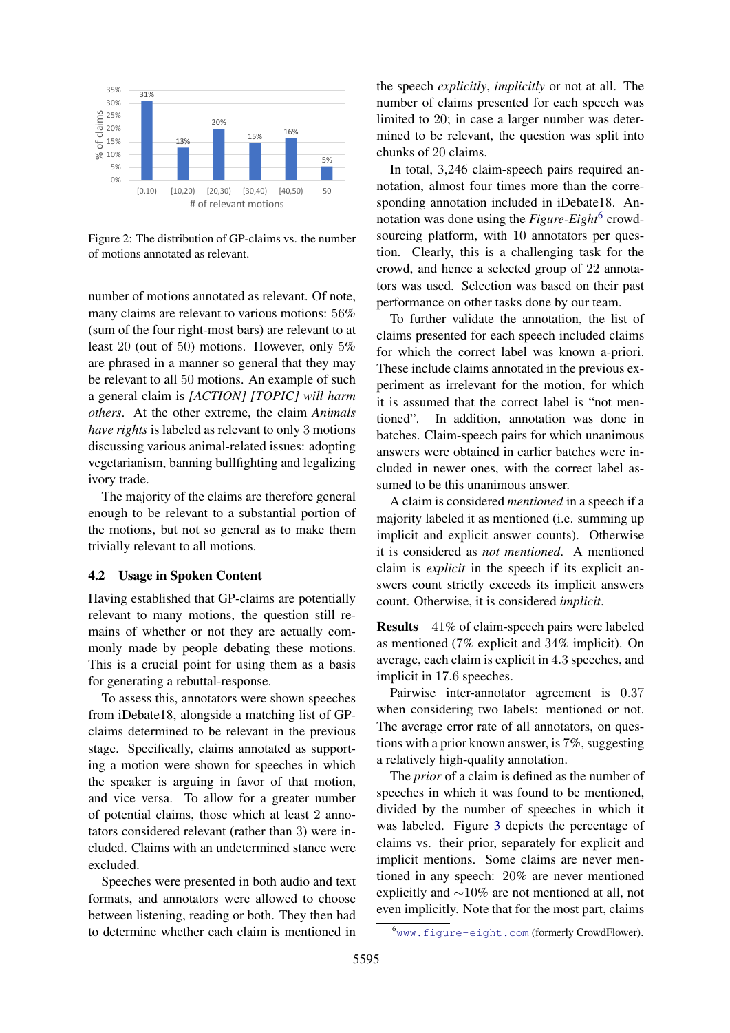<span id="page-4-1"></span>

Figure 2: The distribution of GP-claims vs. the number of motions annotated as relevant.

number of motions annotated as relevant. Of note, many claims are relevant to various motions: 56% (sum of the four right-most bars) are relevant to at least 20 (out of 50) motions. However, only 5% are phrased in a manner so general that they may be relevant to all 50 motions. An example of such a general claim is *[ACTION] [TOPIC] will harm others*. At the other extreme, the claim *Animals have rights* is labeled as relevant to only 3 motions discussing various animal-related issues: adopting vegetarianism, banning bullfighting and legalizing ivory trade.

The majority of the claims are therefore general enough to be relevant to a substantial portion of the motions, but not so general as to make them trivially relevant to all motions.

## <span id="page-4-0"></span>4.2 Usage in Spoken Content

Having established that GP-claims are potentially relevant to many motions, the question still remains of whether or not they are actually commonly made by people debating these motions. This is a crucial point for using them as a basis for generating a rebuttal-response.

To assess this, annotators were shown speeches from iDebate18, alongside a matching list of GPclaims determined to be relevant in the previous stage. Specifically, claims annotated as supporting a motion were shown for speeches in which the speaker is arguing in favor of that motion, and vice versa. To allow for a greater number of potential claims, those which at least 2 annotators considered relevant (rather than 3) were included. Claims with an undetermined stance were excluded.

Speeches were presented in both audio and text formats, and annotators were allowed to choose between listening, reading or both. They then had to determine whether each claim is mentioned in the speech *explicitly*, *implicitly* or not at all. The number of claims presented for each speech was limited to 20; in case a larger number was determined to be relevant, the question was split into chunks of 20 claims.

In total, 3,246 claim-speech pairs required annotation, almost four times more than the corresponding annotation included in iDebate18. Annotation was done using the *Figure-Eight*<sup>[6](#page-4-2)</sup> crowdsourcing platform, with 10 annotators per question. Clearly, this is a challenging task for the crowd, and hence a selected group of 22 annotators was used. Selection was based on their past performance on other tasks done by our team.

To further validate the annotation, the list of claims presented for each speech included claims for which the correct label was known a-priori. These include claims annotated in the previous experiment as irrelevant for the motion, for which it is assumed that the correct label is "not mentioned". In addition, annotation was done in batches. Claim-speech pairs for which unanimous answers were obtained in earlier batches were included in newer ones, with the correct label assumed to be this unanimous answer.

A claim is considered *mentioned* in a speech if a majority labeled it as mentioned (i.e. summing up implicit and explicit answer counts). Otherwise it is considered as *not mentioned*. A mentioned claim is *explicit* in the speech if its explicit answers count strictly exceeds its implicit answers count. Otherwise, it is considered *implicit*.

Results 41% of claim-speech pairs were labeled as mentioned (7% explicit and 34% implicit). On average, each claim is explicit in 4.3 speeches, and implicit in 17.6 speeches.

Pairwise inter-annotator agreement is 0.37 when considering two labels: mentioned or not. The average error rate of all annotators, on questions with a prior known answer, is 7%, suggesting a relatively high-quality annotation.

The *prior* of a claim is defined as the number of speeches in which it was found to be mentioned, divided by the number of speeches in which it was labeled. Figure [3](#page-5-1) depicts the percentage of claims vs. their prior, separately for explicit and implicit mentions. Some claims are never mentioned in any speech: 20% are never mentioned explicitly and ∼10% are not mentioned at all, not even implicitly. Note that for the most part, claims

<span id="page-4-2"></span><sup>6</sup><www.figure-eight.com> (formerly CrowdFlower).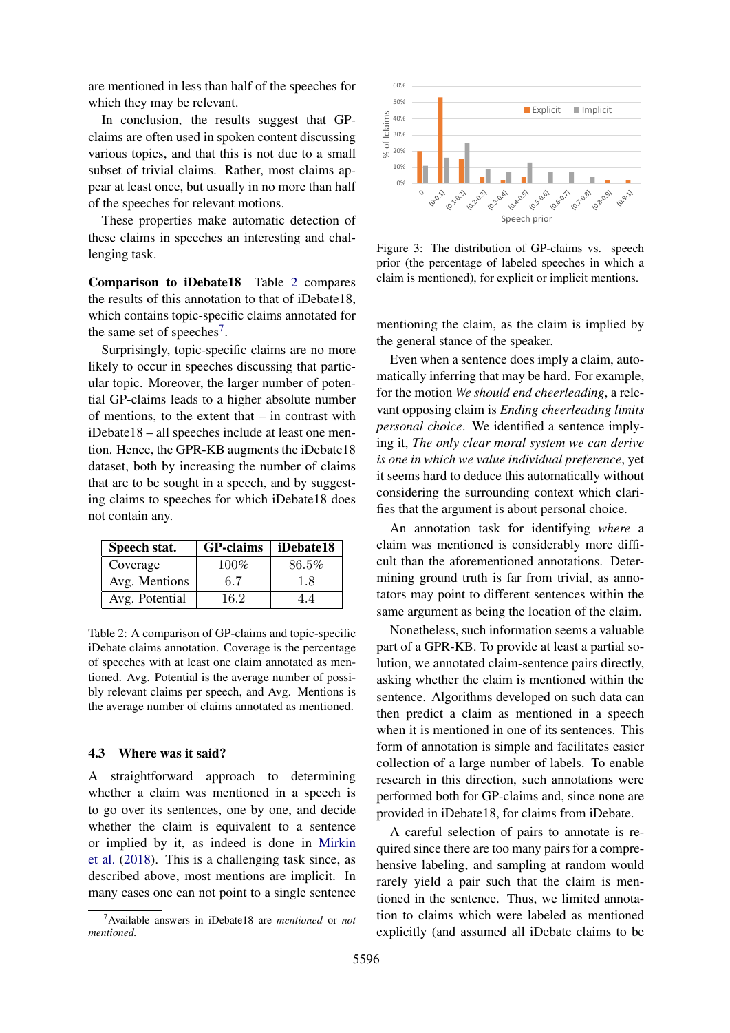are mentioned in less than half of the speeches for which they may be relevant.

In conclusion, the results suggest that GPclaims are often used in spoken content discussing various topics, and that this is not due to a small subset of trivial claims. Rather, most claims appear at least once, but usually in no more than half of the speeches for relevant motions.

These properties make automatic detection of these claims in speeches an interesting and challenging task.

Comparison to iDebate18 Table [2](#page-5-2) compares the results of this annotation to that of iDebate18, which contains topic-specific claims annotated for the same set of speeches<sup>[7](#page-5-3)</sup>.

Surprisingly, topic-specific claims are no more likely to occur in speeches discussing that particular topic. Moreover, the larger number of potential GP-claims leads to a higher absolute number of mentions, to the extent that – in contrast with iDebate18 – all speeches include at least one mention. Hence, the GPR-KB augments the iDebate18 dataset, both by increasing the number of claims that are to be sought in a speech, and by suggesting claims to speeches for which iDebate18 does not contain any.

<span id="page-5-2"></span>

| Speech stat.   | <b>GP-claims</b> | iDebate18 |
|----------------|------------------|-----------|
| Coverage       | $100\%$          | 86.5%     |
| Avg. Mentions  | 6.7              | 1.8       |
| Avg. Potential | 16.2             |           |

Table 2: A comparison of GP-claims and topic-specific iDebate claims annotation. Coverage is the percentage of speeches with at least one claim annotated as mentioned. Avg. Potential is the average number of possibly relevant claims per speech, and Avg. Mentions is the average number of claims annotated as mentioned.

#### <span id="page-5-0"></span>4.3 Where was it said?

A straightforward approach to determining whether a claim was mentioned in a speech is to go over its sentences, one by one, and decide whether the claim is equivalent to a sentence or implied by it, as indeed is done in [Mirkin](#page-9-2) [et al.](#page-9-2) [\(2018\)](#page-9-2). This is a challenging task since, as described above, most mentions are implicit. In many cases one can not point to a single sentence

<span id="page-5-1"></span>

Figure 3: The distribution of GP-claims vs. speech prior (the percentage of labeled speeches in which a claim is mentioned), for explicit or implicit mentions.

mentioning the claim, as the claim is implied by the general stance of the speaker.

Even when a sentence does imply a claim, automatically inferring that may be hard. For example, for the motion *We should end cheerleading*, a relevant opposing claim is *Ending cheerleading limits personal choice*. We identified a sentence implying it, *The only clear moral system we can derive is one in which we value individual preference*, yet it seems hard to deduce this automatically without considering the surrounding context which clarifies that the argument is about personal choice.

An annotation task for identifying *where* a claim was mentioned is considerably more difficult than the aforementioned annotations. Determining ground truth is far from trivial, as annotators may point to different sentences within the same argument as being the location of the claim.

Nonetheless, such information seems a valuable part of a GPR-KB. To provide at least a partial solution, we annotated claim-sentence pairs directly, asking whether the claim is mentioned within the sentence. Algorithms developed on such data can then predict a claim as mentioned in a speech when it is mentioned in one of its sentences. This form of annotation is simple and facilitates easier collection of a large number of labels. To enable research in this direction, such annotations were performed both for GP-claims and, since none are provided in iDebate18, for claims from iDebate.

A careful selection of pairs to annotate is required since there are too many pairs for a comprehensive labeling, and sampling at random would rarely yield a pair such that the claim is mentioned in the sentence. Thus, we limited annotation to claims which were labeled as mentioned explicitly (and assumed all iDebate claims to be

<span id="page-5-3"></span><sup>7</sup>Available answers in iDebate18 are *mentioned* or *not mentioned.*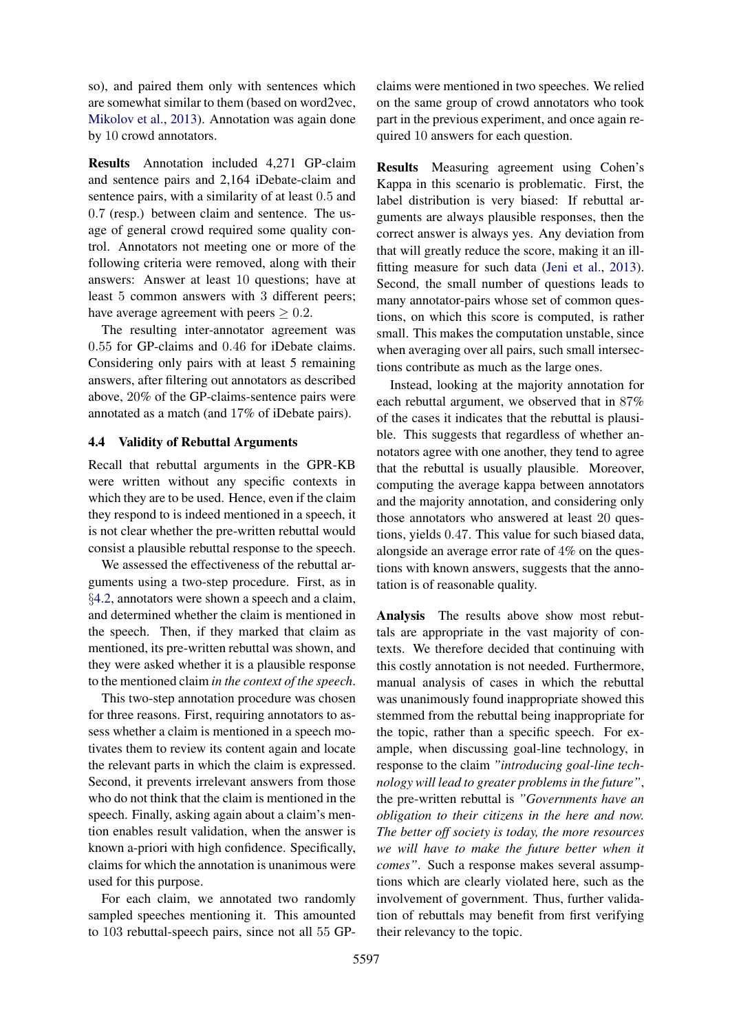so), and paired them only with sentences which are somewhat similar to them (based on word2vec, [Mikolov et al.,](#page-9-18) [2013\)](#page-9-18). Annotation was again done by 10 crowd annotators.

Results Annotation included 4,271 GP-claim and sentence pairs and 2,164 iDebate-claim and sentence pairs, with a similarity of at least 0.5 and 0.7 (resp.) between claim and sentence. The usage of general crowd required some quality control. Annotators not meeting one or more of the following criteria were removed, along with their answers: Answer at least 10 questions; have at least 5 common answers with 3 different peers; have average agreement with peers  $\geq 0.2$ .

The resulting inter-annotator agreement was 0.55 for GP-claims and 0.46 for iDebate claims. Considering only pairs with at least 5 remaining answers, after filtering out annotators as described above, 20% of the GP-claims-sentence pairs were annotated as a match (and 17% of iDebate pairs).

## <span id="page-6-0"></span>4.4 Validity of Rebuttal Arguments

Recall that rebuttal arguments in the GPR-KB were written without any specific contexts in which they are to be used. Hence, even if the claim they respond to is indeed mentioned in a speech, it is not clear whether the pre-written rebuttal would consist a plausible rebuttal response to the speech.

We assessed the effectiveness of the rebuttal arguments using a two-step procedure. First, as in §[4.2,](#page-4-0) annotators were shown a speech and a claim, and determined whether the claim is mentioned in the speech. Then, if they marked that claim as mentioned, its pre-written rebuttal was shown, and they were asked whether it is a plausible response to the mentioned claim *in the context of the speech*.

This two-step annotation procedure was chosen for three reasons. First, requiring annotators to assess whether a claim is mentioned in a speech motivates them to review its content again and locate the relevant parts in which the claim is expressed. Second, it prevents irrelevant answers from those who do not think that the claim is mentioned in the speech. Finally, asking again about a claim's mention enables result validation, when the answer is known a-priori with high confidence. Specifically, claims for which the annotation is unanimous were used for this purpose.

For each claim, we annotated two randomly sampled speeches mentioning it. This amounted to 103 rebuttal-speech pairs, since not all 55 GP-

claims were mentioned in two speeches. We relied on the same group of crowd annotators who took part in the previous experiment, and once again required 10 answers for each question.

Results Measuring agreement using Cohen's Kappa in this scenario is problematic. First, the label distribution is very biased: If rebuttal arguments are always plausible responses, then the correct answer is always yes. Any deviation from that will greatly reduce the score, making it an illfitting measure for such data [\(Jeni et al.,](#page-9-19) [2013\)](#page-9-19). Second, the small number of questions leads to many annotator-pairs whose set of common questions, on which this score is computed, is rather small. This makes the computation unstable, since when averaging over all pairs, such small intersections contribute as much as the large ones.

Instead, looking at the majority annotation for each rebuttal argument, we observed that in 87% of the cases it indicates that the rebuttal is plausible. This suggests that regardless of whether annotators agree with one another, they tend to agree that the rebuttal is usually plausible. Moreover, computing the average kappa between annotators and the majority annotation, and considering only those annotators who answered at least 20 questions, yields 0.47. This value for such biased data, alongside an average error rate of 4% on the questions with known answers, suggests that the annotation is of reasonable quality.

Analysis The results above show most rebuttals are appropriate in the vast majority of contexts. We therefore decided that continuing with this costly annotation is not needed. Furthermore, manual analysis of cases in which the rebuttal was unanimously found inappropriate showed this stemmed from the rebuttal being inappropriate for the topic, rather than a specific speech. For example, when discussing goal-line technology, in response to the claim *"introducing goal-line technology will lead to greater problems in the future"*, the pre-written rebuttal is *"Governments have an obligation to their citizens in the here and now. The better off society is today, the more resources we will have to make the future better when it comes"*. Such a response makes several assumptions which are clearly violated here, such as the involvement of government. Thus, further validation of rebuttals may benefit from first verifying their relevancy to the topic.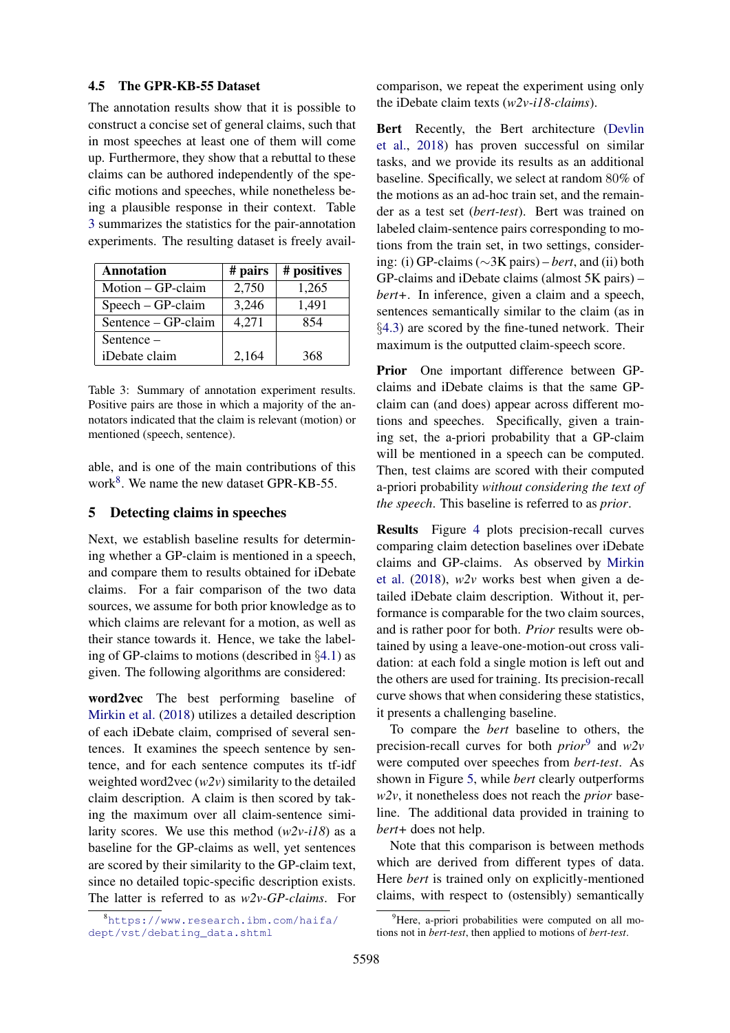## 4.5 The GPR-KB-55 Dataset

The annotation results show that it is possible to construct a concise set of general claims, such that in most speeches at least one of them will come up. Furthermore, they show that a rebuttal to these claims can be authored independently of the specific motions and speeches, while nonetheless being a plausible response in their context. Table [3](#page-7-1) summarizes the statistics for the pair-annotation experiments. The resulting dataset is freely avail-

<span id="page-7-1"></span>

| <b>Annotation</b>   | # pairs | # positives |
|---------------------|---------|-------------|
| Motion – GP-claim   | 2,750   | 1,265       |
| $Speech - GP-claim$ | 3,246   | 1,491       |
| Sentence – GP-claim | 4,271   | 854         |
| Sentence-           |         |             |
| iDebate claim       | 2,164   | 368         |

Table 3: Summary of annotation experiment results. Positive pairs are those in which a majority of the annotators indicated that the claim is relevant (motion) or mentioned (speech, sentence).

able, and is one of the main contributions of this work $8$ . We name the new dataset GPR-KB-55.

#### <span id="page-7-0"></span>5 Detecting claims in speeches

Next, we establish baseline results for determining whether a GP-claim is mentioned in a speech, and compare them to results obtained for iDebate claims. For a fair comparison of the two data sources, we assume for both prior knowledge as to which claims are relevant for a motion, as well as their stance towards it. Hence, we take the labeling of GP-claims to motions (described in §[4.1\)](#page-3-4) as given. The following algorithms are considered:

word2vec The best performing baseline of [Mirkin et al.](#page-9-2) [\(2018\)](#page-9-2) utilizes a detailed description of each iDebate claim, comprised of several sentences. It examines the speech sentence by sentence, and for each sentence computes its tf-idf weighted word2vec (*w2v*) similarity to the detailed claim description. A claim is then scored by taking the maximum over all claim-sentence similarity scores. We use this method (*w2v-i18*) as a baseline for the GP-claims as well, yet sentences are scored by their similarity to the GP-claim text, since no detailed topic-specific description exists. The latter is referred to as *w2v-GP-claims*. For

<span id="page-7-2"></span><sup>8</sup>[https://www.research.ibm.com/haifa/](https://www.research.ibm.com/haifa/dept/vst/debating_data.shtml) [dept/vst/debating\\_data.shtml](https://www.research.ibm.com/haifa/dept/vst/debating_data.shtml)

comparison, we repeat the experiment using only the iDebate claim texts (*w2v-i18-claims*).

Bert Recently, the Bert architecture [\(Devlin](#page-9-20) [et al.,](#page-9-20) [2018\)](#page-9-20) has proven successful on similar tasks, and we provide its results as an additional baseline. Specifically, we select at random 80% of the motions as an ad-hoc train set, and the remainder as a test set (*bert-test*). Bert was trained on labeled claim-sentence pairs corresponding to motions from the train set, in two settings, considering: (i) GP-claims (∼3K pairs) – *bert*, and (ii) both GP-claims and iDebate claims (almost 5K pairs) – *bert+*. In inference, given a claim and a speech, sentences semantically similar to the claim (as in §[4.3\)](#page-5-0) are scored by the fine-tuned network. Their maximum is the outputted claim-speech score.

Prior One important difference between GPclaims and iDebate claims is that the same GPclaim can (and does) appear across different motions and speeches. Specifically, given a training set, the a-priori probability that a GP-claim will be mentioned in a speech can be computed. Then, test claims are scored with their computed a-priori probability *without considering the text of the speech*. This baseline is referred to as *prior*.

Results Figure [4](#page-8-0) plots precision-recall curves comparing claim detection baselines over iDebate claims and GP-claims. As observed by [Mirkin](#page-9-2) [et al.](#page-9-2) [\(2018\)](#page-9-2), *w2v* works best when given a detailed iDebate claim description. Without it, performance is comparable for the two claim sources, and is rather poor for both. *Prior* results were obtained by using a leave-one-motion-out cross validation: at each fold a single motion is left out and the others are used for training. Its precision-recall curve shows that when considering these statistics, it presents a challenging baseline.

To compare the *bert* baseline to others, the precision-recall curves for both *prior*[9](#page-7-3) and *w2v* were computed over speeches from *bert-test*. As shown in Figure [5,](#page-8-1) while *bert* clearly outperforms *w2v*, it nonetheless does not reach the *prior* baseline. The additional data provided in training to *bert+* does not help.

Note that this comparison is between methods which are derived from different types of data. Here *bert* is trained only on explicitly-mentioned claims, with respect to (ostensibly) semantically

<span id="page-7-3"></span> $9^9$ Here, a-priori probabilities were computed on all motions not in *bert-test*, then applied to motions of *bert-test*.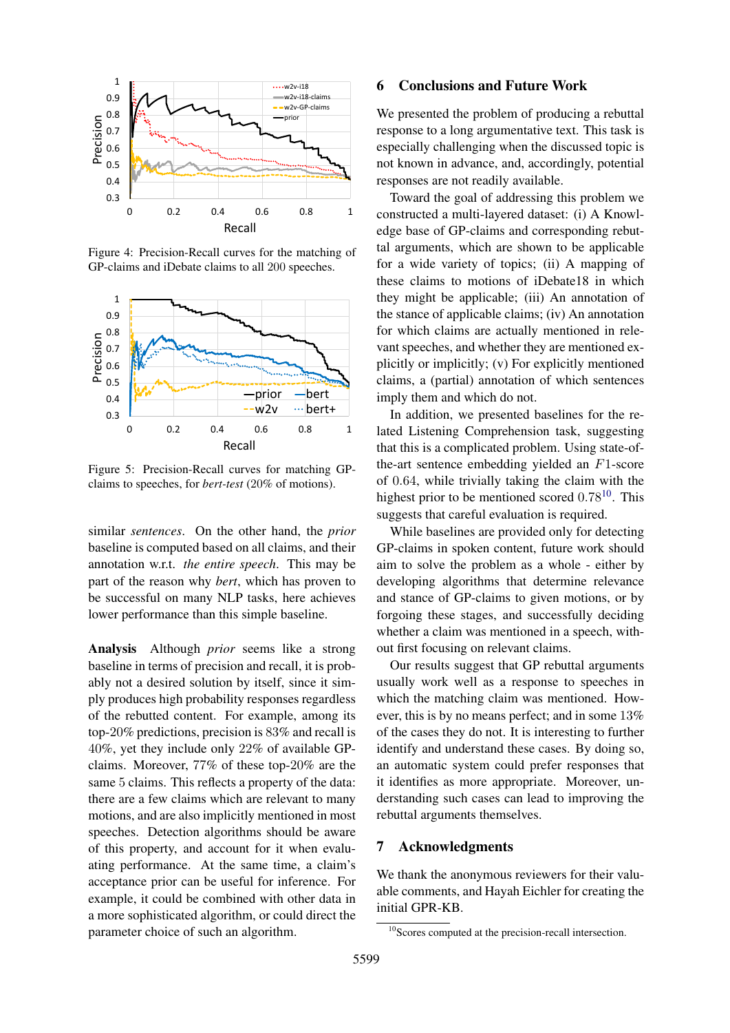<span id="page-8-0"></span>

Figure 4: Precision-Recall curves for the matching of GP-claims and iDebate claims to all 200 speeches.

<span id="page-8-1"></span>

Figure 5: Precision-Recall curves for matching GPclaims to speeches, for *bert-test* (20% of motions).

similar *sentences*. On the other hand, the *prior* baseline is computed based on all claims, and their annotation w.r.t. *the entire speech*. This may be part of the reason why *bert*, which has proven to be successful on many NLP tasks, here achieves lower performance than this simple baseline.

Analysis Although *prior* seems like a strong baseline in terms of precision and recall, it is probably not a desired solution by itself, since it simply produces high probability responses regardless of the rebutted content. For example, among its top-20% predictions, precision is 83% and recall is 40%, yet they include only 22% of available GPclaims. Moreover, 77% of these top-20% are the same 5 claims. This reflects a property of the data: there are a few claims which are relevant to many motions, and are also implicitly mentioned in most speeches. Detection algorithms should be aware of this property, and account for it when evaluating performance. At the same time, a claim's acceptance prior can be useful for inference. For example, it could be combined with other data in a more sophisticated algorithm, or could direct the parameter choice of such an algorithm.

#### 6 Conclusions and Future Work

We presented the problem of producing a rebuttal response to a long argumentative text. This task is especially challenging when the discussed topic is not known in advance, and, accordingly, potential responses are not readily available.

Toward the goal of addressing this problem we constructed a multi-layered dataset: (i) A Knowledge base of GP-claims and corresponding rebuttal arguments, which are shown to be applicable for a wide variety of topics; (ii) A mapping of these claims to motions of iDebate18 in which they might be applicable; (iii) An annotation of the stance of applicable claims; (iv) An annotation for which claims are actually mentioned in relevant speeches, and whether they are mentioned explicitly or implicitly; (v) For explicitly mentioned claims, a (partial) annotation of which sentences imply them and which do not.

In addition, we presented baselines for the related Listening Comprehension task, suggesting that this is a complicated problem. Using state-ofthe-art sentence embedding yielded an F1-score of 0.64, while trivially taking the claim with the highest prior to be mentioned scored  $0.78^{10}$  $0.78^{10}$  $0.78^{10}$ . This suggests that careful evaluation is required.

While baselines are provided only for detecting GP-claims in spoken content, future work should aim to solve the problem as a whole - either by developing algorithms that determine relevance and stance of GP-claims to given motions, or by forgoing these stages, and successfully deciding whether a claim was mentioned in a speech, without first focusing on relevant claims.

Our results suggest that GP rebuttal arguments usually work well as a response to speeches in which the matching claim was mentioned. However, this is by no means perfect; and in some 13% of the cases they do not. It is interesting to further identify and understand these cases. By doing so, an automatic system could prefer responses that it identifies as more appropriate. Moreover, understanding such cases can lead to improving the rebuttal arguments themselves.

## 7 Acknowledgments

We thank the anonymous reviewers for their valuable comments, and Hayah Eichler for creating the initial GPR-KB.

<span id="page-8-2"></span><sup>10</sup>Scores computed at the precision-recall intersection.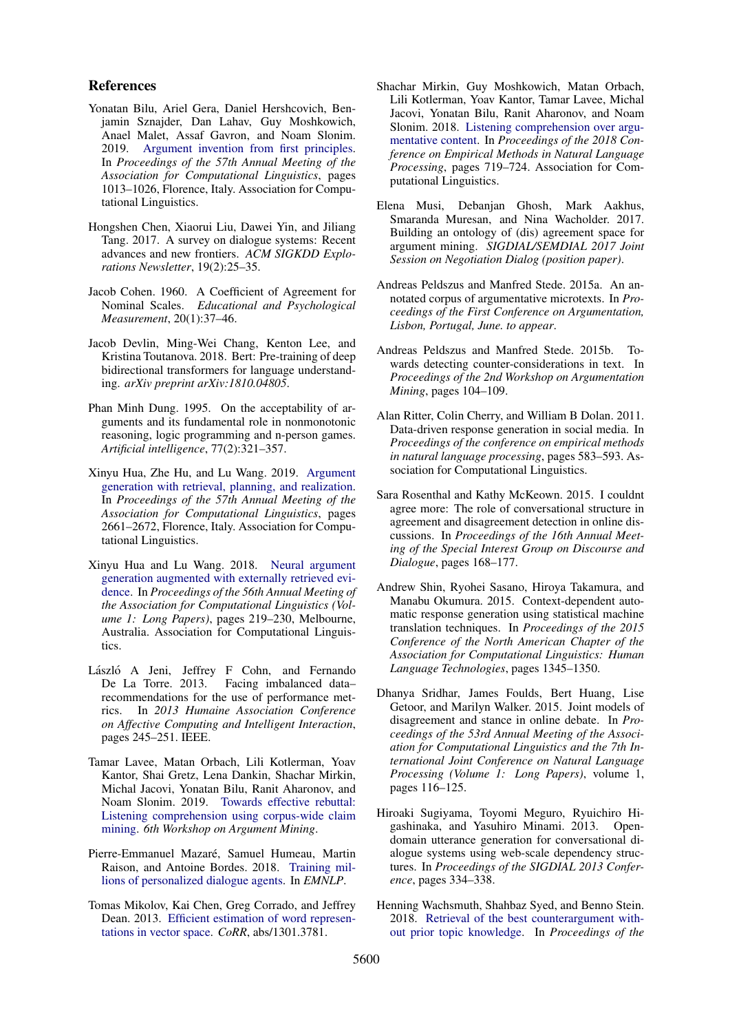#### References

- <span id="page-9-1"></span>Yonatan Bilu, Ariel Gera, Daniel Hershcovich, Benjamin Sznajder, Dan Lahav, Guy Moshkowich, Anael Malet, Assaf Gavron, and Noam Slonim. 2019. [Argument invention from first principles.](https://www.aclweb.org/anthology/P19-1097) In *Proceedings of the 57th Annual Meeting of the Association for Computational Linguistics*, pages 1013–1026, Florence, Italy. Association for Computational Linguistics.
- <span id="page-9-7"></span>Hongshen Chen, Xiaorui Liu, Dawei Yin, and Jiliang Tang. 2017. A survey on dialogue systems: Recent advances and new frontiers. *ACM SIGKDD Explorations Newsletter*, 19(2):25–35.
- <span id="page-9-17"></span>Jacob Cohen. 1960. A Coefficient of Agreement for Nominal Scales. *Educational and Psychological Measurement*, 20(1):37–46.
- <span id="page-9-20"></span>Jacob Devlin, Ming-Wei Chang, Kenton Lee, and Kristina Toutanova. 2018. Bert: Pre-training of deep bidirectional transformers for language understanding. *arXiv preprint arXiv:1810.04805*.
- <span id="page-9-0"></span>Phan Minh Dung. 1995. On the acceptability of arguments and its fundamental role in nonmonotonic reasoning, logic programming and n-person games. *Artificial intelligence*, 77(2):321–357.
- <span id="page-9-16"></span>Xinyu Hua, Zhe Hu, and Lu Wang. 2019. [Argument](https://www.aclweb.org/anthology/P19-1255) [generation with retrieval, planning, and realization.](https://www.aclweb.org/anthology/P19-1255) In *Proceedings of the 57th Annual Meeting of the Association for Computational Linguistics*, pages 2661–2672, Florence, Italy. Association for Computational Linguistics.
- <span id="page-9-15"></span>Xinyu Hua and Lu Wang. 2018. [Neural argument](https://doi.org/10.18653/v1/P18-1021) [generation augmented with externally retrieved evi](https://doi.org/10.18653/v1/P18-1021)[dence.](https://doi.org/10.18653/v1/P18-1021) In *Proceedings of the 56th Annual Meeting of the Association for Computational Linguistics (Volume 1: Long Papers)*, pages 219–230, Melbourne, Australia. Association for Computational Linguistics.
- <span id="page-9-19"></span>László A Jeni, Jeffrey F Cohn, and Fernando De La Torre. 2013. Facing imbalanced data– recommendations for the use of performance metrics. In *2013 Humaine Association Conference on Affective Computing and Intelligent Interaction*, pages 245–251. IEEE.
- <span id="page-9-3"></span>Tamar Lavee, Matan Orbach, Lili Kotlerman, Yoav Kantor, Shai Gretz, Lena Dankin, Shachar Mirkin, Michal Jacovi, Yonatan Bilu, Ranit Aharonov, and Noam Slonim. 2019. [Towards effective rebuttal:](http://arxiv.org/abs/1907.11889) [Listening comprehension using corpus-wide claim](http://arxiv.org/abs/1907.11889) [mining.](http://arxiv.org/abs/1907.11889) *6th Workshop on Argument Mining*.
- <span id="page-9-8"></span>Pierre-Emmanuel Mazaré, Samuel Humeau, Martin Raison, and Antoine Bordes. 2018. [Training mil](http://arxiv.org/abs/1809.01984)[lions of personalized dialogue agents.](http://arxiv.org/abs/1809.01984) In *EMNLP*.
- <span id="page-9-18"></span>Tomas Mikolov, Kai Chen, Greg Corrado, and Jeffrey Dean. 2013. [Efficient estimation of word represen](http://arxiv.org/abs/1301.3781)[tations in vector space.](http://arxiv.org/abs/1301.3781) *CoRR*, abs/1301.3781.
- <span id="page-9-2"></span>Shachar Mirkin, Guy Moshkowich, Matan Orbach, Lili Kotlerman, Yoav Kantor, Tamar Lavee, Michal Jacovi, Yonatan Bilu, Ranit Aharonov, and Noam Slonim. 2018. [Listening comprehension over argu](http://aclweb.org/anthology/D18-1078)[mentative content.](http://aclweb.org/anthology/D18-1078) In *Proceedings of the 2018 Conference on Empirical Methods in Natural Language Processing*, pages 719–724. Association for Computational Linguistics.
- <span id="page-9-10"></span>Elena Musi, Debanjan Ghosh, Mark Aakhus, Smaranda Muresan, and Nina Wacholder. 2017. Building an ontology of (dis) agreement space for argument mining. *SIGDIAL/SEMDIAL 2017 Joint Session on Negotiation Dialog (position paper)*.
- <span id="page-9-9"></span>Andreas Peldszus and Manfred Stede. 2015a. An annotated corpus of argumentative microtexts. In *Proceedings of the First Conference on Argumentation, Lisbon, Portugal, June. to appear*.
- <span id="page-9-13"></span>Andreas Peldszus and Manfred Stede. 2015b. Towards detecting counter-considerations in text. In *Proceedings of the 2nd Workshop on Argumentation Mining*, pages 104–109.
- <span id="page-9-4"></span>Alan Ritter, Colin Cherry, and William B Dolan. 2011. Data-driven response generation in social media. In *Proceedings of the conference on empirical methods in natural language processing*, pages 583–593. Association for Computational Linguistics.
- <span id="page-9-12"></span>Sara Rosenthal and Kathy McKeown. 2015. I couldnt agree more: The role of conversational structure in agreement and disagreement detection in online discussions. In *Proceedings of the 16th Annual Meeting of the Special Interest Group on Discourse and Dialogue*, pages 168–177.
- <span id="page-9-6"></span>Andrew Shin, Ryohei Sasano, Hiroya Takamura, and Manabu Okumura. 2015. Context-dependent automatic response generation using statistical machine translation techniques. In *Proceedings of the 2015 Conference of the North American Chapter of the Association for Computational Linguistics: Human Language Technologies*, pages 1345–1350.
- <span id="page-9-11"></span>Dhanya Sridhar, James Foulds, Bert Huang, Lise Getoor, and Marilyn Walker. 2015. Joint models of disagreement and stance in online debate. In *Proceedings of the 53rd Annual Meeting of the Association for Computational Linguistics and the 7th International Joint Conference on Natural Language Processing (Volume 1: Long Papers)*, volume 1, pages 116–125.
- <span id="page-9-5"></span>Hiroaki Sugiyama, Toyomi Meguro, Ryuichiro Higashinaka, and Yasuhiro Minami. 2013. Opendomain utterance generation for conversational dialogue systems using web-scale dependency structures. In *Proceedings of the SIGDIAL 2013 Conference*, pages 334–338.
- <span id="page-9-14"></span>Henning Wachsmuth, Shahbaz Syed, and Benno Stein. 2018. [Retrieval of the best counterargument with](https://doi.org/10.18653/v1/P18-1023)[out prior topic knowledge.](https://doi.org/10.18653/v1/P18-1023) In *Proceedings of the*